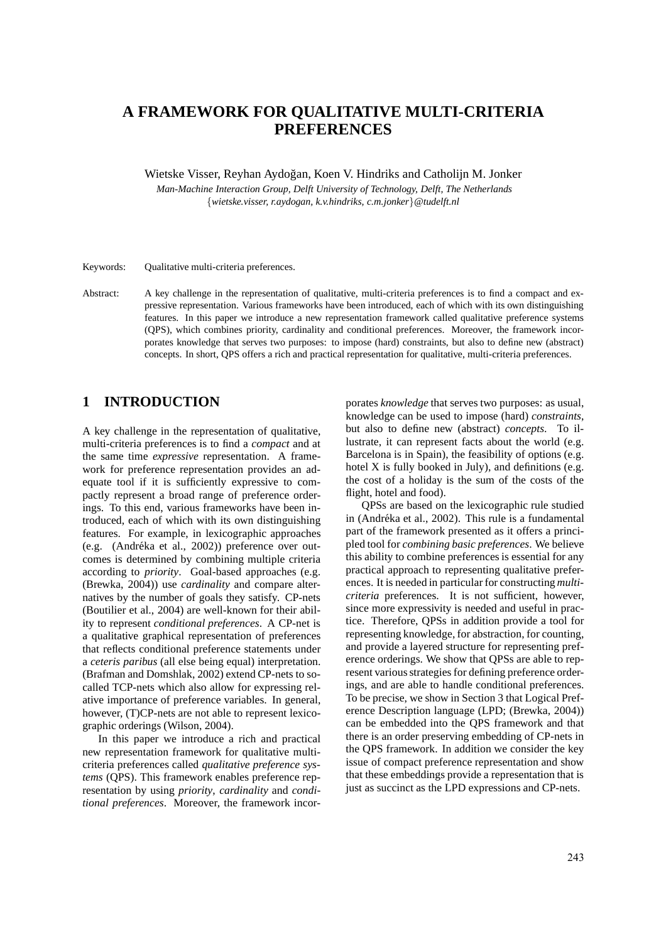# **A FRAMEWORK FOR QUALITATIVE MULTI-CRITERIA PREFERENCES**

Wietske Visser, Reyhan Aydo˘gan, Koen V. Hindriks and Catholijn M. Jonker

*Man-Machine Interaction Group, Delft University of Technology, Delft, The Netherlands* {*wietske.visser, r.aydogan, k.v.hindriks, c.m.jonker*}*@tudelft.nl*

Keywords: Qualitative multi-criteria preferences.

Abstract: A key challenge in the representation of qualitative, multi-criteria preferences is to find a compact and expressive representation. Various frameworks have been introduced, each of which with its own distinguishing features. In this paper we introduce a new representation framework called qualitative preference systems (QPS), which combines priority, cardinality and conditional preferences. Moreover, the framework incorporates knowledge that serves two purposes: to impose (hard) constraints, but also to define new (abstract) concepts. In short, QPS offers a rich and practical representation for qualitative, multi-criteria preferences.

# **1 INTRODUCTION**

A key challenge in the representation of qualitative, multi-criteria preferences is to find a *compact* and at the same time *expressive* representation. A framework for preference representation provides an adequate tool if it is sufficiently expressive to compactly represent a broad range of preference orderings. To this end, various frameworks have been introduced, each of which with its own distinguishing features. For example, in lexicographic approaches (e.g. (Andréka et al., 2002)) preference over outcomes is determined by combining multiple criteria according to *priority*. Goal-based approaches (e.g. (Brewka, 2004)) use *cardinality* and compare alternatives by the number of goals they satisfy. CP-nets (Boutilier et al., 2004) are well-known for their ability to represent *conditional preferences*. A CP-net is a qualitative graphical representation of preferences that reflects conditional preference statements under a *ceteris paribus* (all else being equal) interpretation. (Brafman and Domshlak, 2002) extend CP-nets to socalled TCP-nets which also allow for expressing relative importance of preference variables. In general, however, (T)CP-nets are not able to represent lexicographic orderings (Wilson, 2004).

In this paper we introduce a rich and practical new representation framework for qualitative multicriteria preferences called *qualitative preference systems* (QPS). This framework enables preference representation by using *priority*, *cardinality* and *conditional preferences*. Moreover, the framework incor-

porates *knowledge* that serves two purposes: as usual, knowledge can be used to impose (hard) *constraints*, but also to define new (abstract) *concepts*. To illustrate, it can represent facts about the world (e.g. Barcelona is in Spain), the feasibility of options (e.g. hotel X is fully booked in July), and definitions (e.g. the cost of a holiday is the sum of the costs of the flight, hotel and food).

QPSs are based on the lexicographic rule studied in (Andréka et al., 2002). This rule is a fundamental part of the framework presented as it offers a principled tool for *combining basic preferences*. We believe this ability to combine preferences is essential for any practical approach to representing qualitative preferences. It is needed in particular for constructing *multicriteria* preferences. It is not sufficient, however, since more expressivity is needed and useful in practice. Therefore, QPSs in addition provide a tool for representing knowledge, for abstraction, for counting, and provide a layered structure for representing preference orderings. We show that QPSs are able to represent various strategies for defining preference orderings, and are able to handle conditional preferences. To be precise, we show in Section 3 that Logical Preference Description language (LPD; (Brewka, 2004)) can be embedded into the QPS framework and that there is an order preserving embedding of CP-nets in the QPS framework. In addition we consider the key issue of compact preference representation and show that these embeddings provide a representation that is just as succinct as the LPD expressions and CP-nets.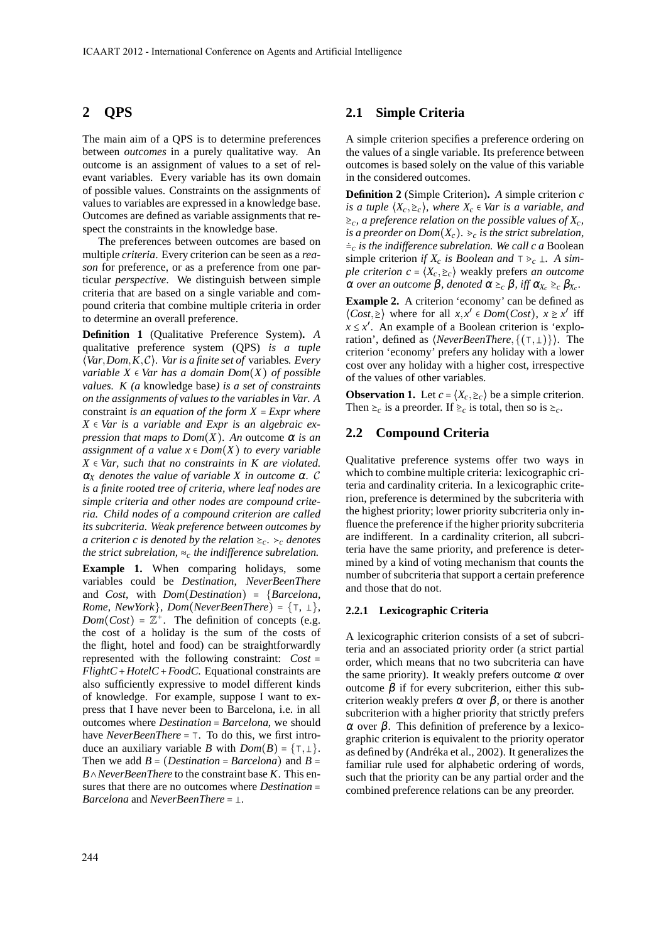### **2 QPS**

The main aim of a QPS is to determine preferences between *outcomes* in a purely qualitative way. An outcome is an assignment of values to a set of relevant variables. Every variable has its own domain of possible values. Constraints on the assignments of values to variables are expressed in a knowledge base. Outcomes are defined as variable assignments that respect the constraints in the knowledge base.

The preferences between outcomes are based on multiple *criteria*. Every criterion can be seen as a *reason* for preference, or as a preference from one particular *perspective*. We distinguish between simple criteria that are based on a single variable and compound criteria that combine multiple criteria in order to determine an overall preference.

**Definition 1** (Qualitative Preference System)**.** *A* qualitative preference system (QPS) *is a tuple* ⟨*Var*,*Dom*,*K*,C⟩*. Var is a finite set of* variables*. Every variable*  $X \in Var$  *has a domain Dom* $(X)$  *of possible values. K (a* knowledge base*) is a set of constraints on the assignments of values to the variables in Var. A* constraint *is an equation of the form X* = *Expr where X* ∈ *Var is a variable and Expr is an algebraic expression that maps to*  $Dom(X)$ *. An outcome*  $\alpha$  *is an assignment of a value*  $x \in Dom(X)$  *to every variable X* ∈ *Var, such that no constraints in K are violated.*  $\alpha_X$  *denotes the value of variable X in outcome*  $\alpha$ . C *is a finite rooted tree of criteria, where leaf nodes are simple criteria and other nodes are compound criteria. Child nodes of a compound criterion are called its subcriteria. Weak preference between outcomes by a criterion c is denoted by the relation*  $\geq_c$ *.*  $\geq_c$  *denotes the strict subrelation,* ≈*<sup>c</sup> the indifference subrelation.*

**Example 1.** When comparing holidays, some variables could be *Destination*, *NeverBeenThere* and *Cost*, with *Dom*(*Destination*) = {*Barcelona*, *Rome*, *NewYork*}, *Dom*(*NeverBeenThere*) =  $\{\top, \bot\}$ ,  $Dom(Cost) = \mathbb{Z}^+$ . The definition of concepts (e.g. the cost of a holiday is the sum of the costs of the flight, hotel and food) can be straightforwardly represented with the following constraint: *Cost* = *FlightC*+*HotelC*+*FoodC*. Equational constraints are also sufficiently expressive to model different kinds of knowledge. For example, suppose I want to express that I have never been to Barcelona, i.e. in all outcomes where *Destination* = *Barcelona*, we should have *NeverBeenThere* = ⊺. To do this, we first introduce an auxiliary variable *B* with  $Dom(B) = \{\top, \bot\}.$ Then we add  $B = (Destination = Barcelona)$  and  $B =$ *B*∧*NeverBeenThere* to the constraint base *K*. This ensures that there are no outcomes where *Destination* = *Barcelona* and *NeverBeenThere* =  $\bot$ *.* 

#### **2.1 Simple Criteria**

A simple criterion specifies a preference ordering on the values of a single variable. Its preference between outcomes is based solely on the value of this variable in the considered outcomes.

**Definition 2** (Simple Criterion)**.** *A* simple criterion *c is a tuple*  $(X_c, \ge_c)$ *, where*  $X_c \in \mathbb{V}$ *ar is a variable, and*  $\geq_c$ , a preference relation on the possible values of  $X_c$ , *is a preorder on Dom* $(X_c)$ *.*  $\geq_c$  *is the strict subrelation,* ≐*<sup>c</sup> is the indifference subrelation. We call c a* Boolean simple criterion *if*  $X_c$  *is Boolean and*  $\top \geq_c \bot$ . A sim*ple criterion*  $c = \langle X_c, \geq_c \rangle$  *weakly prefers <i>an outcome*  $\alpha$  *over an outcome β, denoted*  $\alpha$  *≥<sub>c</sub> β, iff*  $\alpha_{\text{X}_c}$  *≥<sub>c</sub> β<sub>X</sub><sub>c</sub>.* 

**Example 2.** A criterion 'economy' can be defined as  $\langle Cost, \ge \rangle$  where for all  $x, x' \in Dom(Cost)$ ,  $x \ge x'$  iff  $x \leq x'$ . An example of a Boolean criterion is 'exploration', defined as ⟨*NeverBeenThere*,{(⊺,)}⟩. The criterion 'economy' prefers any holiday with a lower cost over any holiday with a higher cost, irrespective of the values of other variables.

**Observation 1.** Let  $c = \langle X_c, \geq_c \rangle$  be a simple criterion. Then  $\geq_c$  is a preorder. If  $\geq_c$  is total, then so is  $\geq_c$ .

#### **2.2 Compound Criteria**

Qualitative preference systems offer two ways in which to combine multiple criteria: lexicographic criteria and cardinality criteria. In a lexicographic criterion, preference is determined by the subcriteria with the highest priority; lower priority subcriteria only influence the preference if the higher priority subcriteria are indifferent. In a cardinality criterion, all subcriteria have the same priority, and preference is determined by a kind of voting mechanism that counts the number of subcriteria that support a certain preference and those that do not.

#### **2.2.1 Lexicographic Criteria**

A lexicographic criterion consists of a set of subcriteria and an associated priority order (a strict partial order, which means that no two subcriteria can have the same priority). It weakly prefers outcome  $\alpha$  over outcome  $β$  if for every subcriterion, either this subcriterion weakly prefers  $\alpha$  over  $\beta$ , or there is another subcriterion with a higher priority that strictly prefers <sup>α</sup> over β. This definition of preference by a lexicographic criterion is equivalent to the priority operator as defined by (Andréka et al., 2002). It generalizes the familiar rule used for alphabetic ordering of words, such that the priority can be any partial order and the combined preference relations can be any preorder.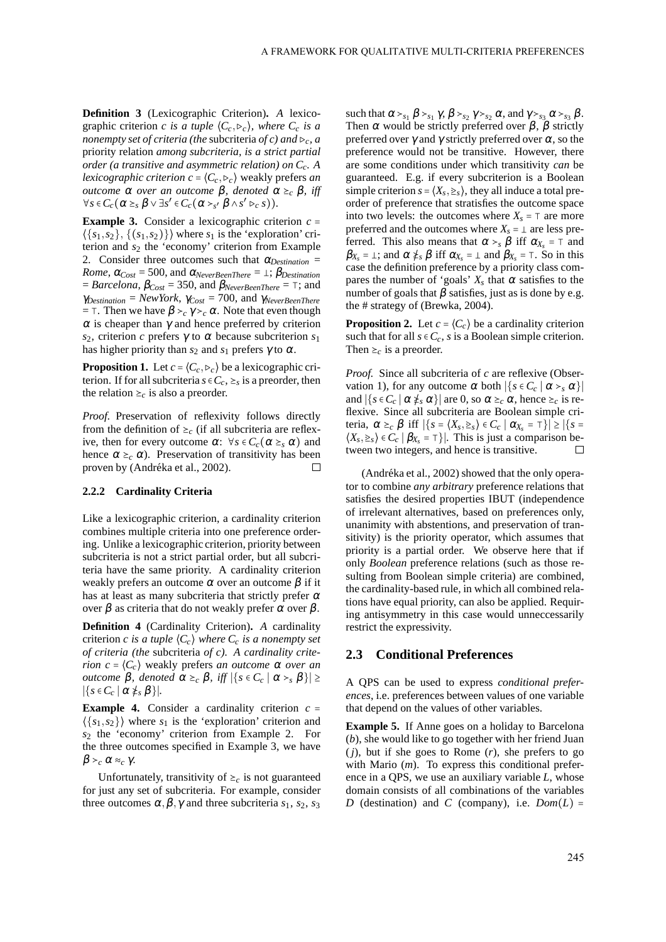**Definition 3** (Lexicographic Criterion)**.** *A* lexicographic criterion *c is a tuple*  $\langle C_c, \triangleright_c \rangle$ *, where*  $C_c$  *is a nonempty set of criteria (the* subcriteria *of c) and* ⊳*c, a* priority relation *among subcriteria, is a strict partial order (a transitive and asymmetric relation) on Cc. A lexicographic criterion c* =  $\langle C_c, \triangleright_c \rangle$  weakly prefers *an outcome*  $\alpha$  *over an outcome*  $\beta$ *, denoted*  $\alpha \geq_c \beta$ *, iff*  $\forall s \in C_c \left( \alpha \geq_s \beta \vee \exists s' \in C_c \left( \alpha >_{s'} \beta \wedge s' \triangleright_c s \right) \right).$ 

**Example 3.** Consider a lexicographic criterion  $c =$  $\langle \{s_1, s_2\}, \{ (s_1, s_2) \} \rangle$  where  $s_1$  is the 'exploration' criterion and *s*<sup>2</sup> the 'economy' criterion from Example 2. Consider three outcomes such that  $\alpha_{Destination}$  = *Rome*,  $\alpha_{Cost} = 500$ , and  $\alpha_{NeverBeenThere} = \perp$ ;  $\beta_{Destination}$  $= Barcelona$ ,  $\beta_{Cost} = 350$ , and  $\beta_{Nevertheless}$ *ReverBeenThere* =  $\top$ ; and <sup>γ</sup>*Destination* = *NewYork*, <sup>γ</sup>*Cost* = 700, and <sup>γ</sup>*NeverBeenThere*  $=$  ⊤. Then we have  $β ><sub>c</sub> γ ><sub>c</sub> α$ . Note that even though  $\alpha$  is cheaper than  $\gamma$  and hence preferred by criterion *s*2, criterion *c* prefers <sup>γ</sup> to <sup>α</sup> because subcriterion *s*<sup>1</sup> has higher priority than  $s_2$  and  $s_1$  prefers  $\gamma$  to  $\alpha$ .

**Proposition 1.** Let  $c = \langle C_c, \triangleright_c \rangle$  be a lexicographic criterion. If for all subcriteria  $s \in C_c$ ,  $\geq_s$  is a preorder, then the relation  $\geq_c$  is also a preorder.

*Proof.* Preservation of reflexivity follows directly from the definition of  $\geq_c$  (if all subcriteria are reflexive, then for every outcome  $\alpha$ :  $\forall s \in C_c(\alpha \geq_s \alpha)$  and hence  $\alpha \geq_c \alpha$ ). Preservation of transitivity has been proven by (Andréka et al., 2002).  $\Box$ 

#### **2.2.2 Cardinality Criteria**

Like a lexicographic criterion, a cardinality criterion combines multiple criteria into one preference ordering. Unlike a lexicographic criterion, priority between subcriteria is not a strict partial order, but all subcriteria have the same priority. A cardinality criterion weakly prefers an outcome  $\alpha$  over an outcome  $\beta$  if it has at least as many subcriteria that strictly prefer  $\alpha$ over β as criteria that do not weakly prefer  $\alpha$  over β.

**Definition 4** (Cardinality Criterion)**.** *A* cardinality criterion *c* is a tuple  $\langle C_c \rangle$  where  $C_c$  is a nonempty set *of criteria (the* subcriteria *of c). A cardinality criterion*  $c = \langle C_c \rangle$  weakly prefers *an outcome*  $\alpha$  *over an outcome* β*, denoted*  $\alpha \geq_c \beta$ *, iff*  $|\{s \in C_c \mid \alpha >_s \beta\}|$  ≥  $|\{s \in C_c \mid \alpha \neq_s \beta\}|$ *.* 

**Example 4.** Consider a cardinality criterion  $c =$  $\langle \{s_1, s_2\} \rangle$  where  $s_1$  is the 'exploration' criterion and *s*<sup>2</sup> the 'economy' criterion from Example 2. For the three outcomes specified in Example 3, we have β ≻*<sup>c</sup>* <sup>α</sup> ≈*<sup>c</sup>* <sup>γ</sup>.

Unfortunately, transitivity of  $\geq_c$  is not guaranteed for just any set of subcriteria. For example, consider three outcomes  $\alpha, \beta, \gamma$  and three subcriteria *s*<sub>1</sub>, *s*<sub>2</sub>, *s*<sub>3</sub>

such that  $\alpha >_{s_1} \beta >_{s_1} \gamma$ ,  $\beta >_{s_2} \gamma >_{s_2} \alpha$ , and  $\gamma >_{s_3} \alpha >_{s_3} \beta$ . Then  $\alpha$  would be strictly preferred over  $\beta$ ,  $\beta$  strictly preferred over  $\gamma$  and  $\gamma$  strictly preferred over  $\alpha$ , so the preference would not be transitive. However, there are some conditions under which transitivity *can* be guaranteed. E.g. if every subcriterion is a Boolean simple criterion  $s = \langle X_s, \geq_s \rangle$ , they all induce a total preorder of preference that stratisfies the outcome space into two levels: the outcomes where  $X_s = \top$  are more preferred and the outcomes where  $X_s = \perp$  are less preferred. This also means that  $\alpha >_{s} \beta$  iff  $\alpha_{X_s} = \tau$  and  $\beta_{X_s} = \bot$ ; and  $\alpha \neq_s \beta$  iff  $\alpha_{X_s} = \bot$  and  $\beta_{X_s} = \top$ . So in this case the definition preference by a priority class compares the number of 'goals'  $X_s$  that  $\alpha$  satisfies to the number of goals that  $\beta$  satisfies, just as is done by e.g. the # strategy of (Brewka, 2004).

**Proposition 2.** Let  $c = \langle C_c \rangle$  be a cardinality criterion such that for all  $s \in C_c$ , *s* is a Boolean simple criterion. Then  $\geq_c$  is a preorder.

*Proof.* Since all subcriteria of *c* are reflexive (Observation 1), for any outcome  $\alpha$  both  $|\{s \in C_c \mid \alpha >_s \alpha\}|$ and  $|\{s \in C_c \mid \alpha \neq_s \alpha\}|$  are 0, so  $\alpha \geq_c \alpha$ , hence  $\geq_c$  is reflexive. Since all subcriteria are Boolean simple criteria,  $\alpha \geq_c \beta$  iff  $|\{s = \langle X_s, \geq_s \rangle \in C_c \mid \alpha_{X_s} = \tau\}| \geq |\{s =$  $\langle X_s, \geq_s \rangle \in C_c \mid \beta_{X_s} = \top \}|$ . This is just a comparison between two integers, and hence is transitive.

(Andréka et al., 2002) showed that the only operator to combine *any arbitrary* preference relations that satisfies the desired properties IBUT (independence of irrelevant alternatives, based on preferences only, unanimity with abstentions, and preservation of transitivity) is the priority operator, which assumes that priority is a partial order. We observe here that if only *Boolean* preference relations (such as those resulting from Boolean simple criteria) are combined, the cardinality-based rule, in which all combined relations have equal priority, can also be applied. Requiring antisymmetry in this case would unneccessarily restrict the expressivity.

#### **2.3 Conditional Preferences**

A QPS can be used to express *conditional preferences*, i.e. preferences between values of one variable that depend on the values of other variables.

**Example 5.** If Anne goes on a holiday to Barcelona (*b*), she would like to go together with her friend Juan (*j*), but if she goes to Rome (*r*), she prefers to go with Mario (*m*). To express this conditional preference in a QPS, we use an auxiliary variable *L*, whose domain consists of all combinations of the variables *D* (destination) and *C* (company), i.e.  $Dom(L)$  =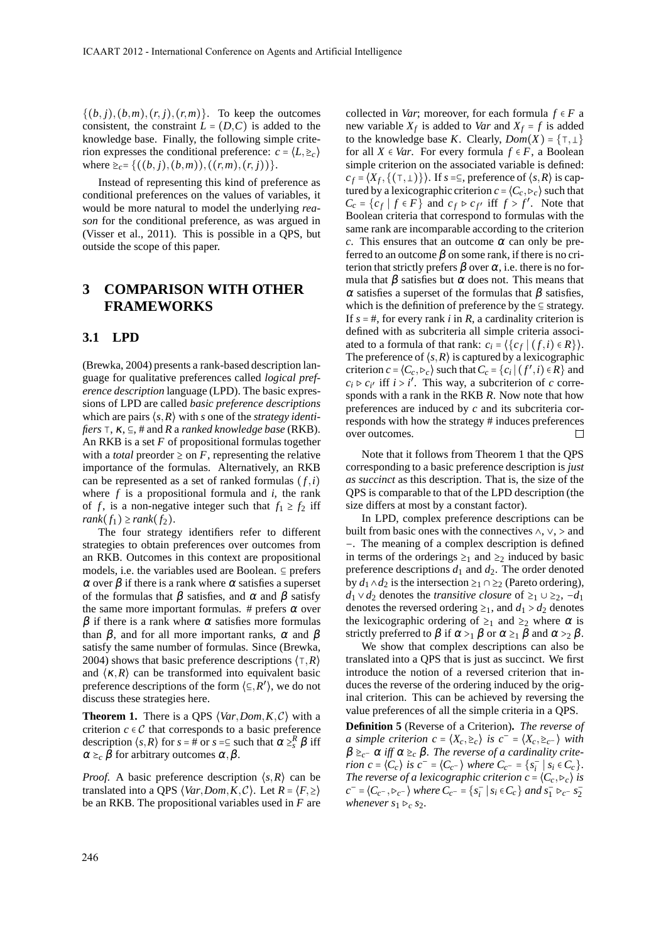$\{(b, j), (b, m), (r, j), (r, m)\}.$  To keep the outcomes consistent, the constraint  $L = (D, C)$  is added to the knowledge base. Finally, the following simple criterion expresses the conditional preference:  $c = \langle L, \geq_c \rangle$ where  $\geq_c = \{((b, j), (b, m)), ((r, m), (r, j))\}.$ 

Instead of representing this kind of preference as conditional preferences on the values of variables, it would be more natural to model the underlying *reason* for the conditional preference, as was argued in (Visser et al., 2011). This is possible in a QPS, but outside the scope of this paper.

## **3 COMPARISON WITH OTHER FRAMEWORKS**

#### **3.1 LPD**

(Brewka, 2004) presents a rank-based description language for qualitative preferences called *logical preference description* language (LPD). The basic expressions of LPD are called *basic preference descriptions* which are pairs ⟨*s*,*R*⟩ with *s* one of the *strategy identifiers* ⊺, <sup>κ</sup>, ⊆, # and *R* a *ranked knowledge base* (RKB). An RKB is a set *F* of propositional formulas together with a *total* preorder  $\geq$  on *F*, representing the relative importance of the formulas. Alternatively, an RKB can be represented as a set of ranked formulas  $(f, i)$ where *f* is a propositional formula and *i*, the rank of *f*, is a non-negative integer such that  $f_1 \ge f_2$  iff  $rank(f_1) \geq rank(f_2)$ .

The four strategy identifiers refer to different strategies to obtain preferences over outcomes from an RKB. Outcomes in this context are propositional models, i.e. the variables used are Boolean. ⊆ prefers  $\alpha$  over  $\beta$  if there is a rank where  $\alpha$  satisfies a superset of the formulas that  $\beta$  satisfies, and  $\alpha$  and  $\beta$  satisfy the same more important formulas. # prefers  $\alpha$  over  $β$  if there is a rank where  $α$  satisfies more formulas than  $β$ , and for all more important ranks,  $α$  and  $β$ satisfy the same number of formulas. Since (Brewka, 2004) shows that basic preference descriptions ⟨⊺,*R*⟩ and  $\langle \kappa, R \rangle$  can be transformed into equivalent basic preference descriptions of the form  $\langle \subseteq, R' \rangle$ , we do not discuss these strategies here.

**Theorem 1.** There is a QPS  $\langle Var, Dom, K, C \rangle$  with a criterion  $c \in \mathcal{C}$  that corresponds to a basic preference description  $\langle s, R \rangle$  for  $s = \text{\#}$  or  $s = \text{\#}$  such that  $\alpha \geq s \beta$  iff  $\alpha \succeq_c \beta$  for arbitrary outcomes  $\alpha, \beta$ .

*Proof.* A basic preference description  $\langle s, R \rangle$  can be translated into a QPS  $\langle Var, Dom, K, C \rangle$ . Let  $R = \langle F, \geq \rangle$ be an RKB. The propositional variables used in *F* are collected in *Var*; moreover, for each formula  $f \in F$  a new variable  $X_f$  is added to *Var* and  $X_f = f$  is added to the knowledge base *K*. Clearly,  $Dom(X) = \{\top, \bot\}$ for all  $X \in Var$ . For every formula  $f \in F$ , a Boolean simple criterion on the associated variable is defined:  $c_f = \langle X_f, \{ (\top, \bot) \} \rangle$ . If  $s = \subseteq$ , preference of  $\langle s, R \rangle$  is captured by a lexicographic criterion  $c = (C_c, \triangleright_c)$  such that  $C_c = \{c_f \mid f \in F\}$  and  $c_f \triangleright c_{f'}$  iff  $f > f'$ . Note that Boolean criteria that correspond to formulas with the same rank are incomparable according to the criterion *c*. This ensures that an outcome  $\alpha$  can only be preferred to an outcome  $\beta$  on some rank, if there is no criterion that strictly prefers  $\beta$  over  $\alpha$ , i.e. there is no formula that  $\beta$  satisfies but  $\alpha$  does not. This means that α satisfies a superset of the formulas that  $β$  satisfies, which is the definition of preference by the ⊆ strategy. If  $s = #$ , for every rank *i* in *R*, a cardinality criterion is defined with as subcriteria all simple criteria associated to a formula of that rank:  $c_i = \{ \{ c_f \mid (f, i) \in R \} \}.$ The preference of  $\langle s, R \rangle$  is captured by a lexicographic criterion  $c = \langle C_c, \triangleright_c \rangle$  such that  $C_c = \{c_i \mid (f', i) \in R\}$  and  $c_i \triangleright c_{i'}$  iff  $i > i'$ . This way, a subcriterion of *c* corresponds with a rank in the RKB *R*. Now note that how preferences are induced by *c* and its subcriteria corresponds with how the strategy # induces preferences over outcomes.  $\Box$ 

Note that it follows from Theorem 1 that the QPS corresponding to a basic preference description is *just as succinct* as this description. That is, the size of the QPS is comparable to that of the LPD description (the size differs at most by a constant factor).

In LPD, complex preference descriptions can be built from basic ones with the connectives  $\land$ ,  $\lor$ ,  $>$  and −. The meaning of a complex description is defined in terms of the orderings  $\geq_1$  and  $\geq_2$  induced by basic preference descriptions  $d_1$  and  $d_2$ . The order denoted by  $d_1 \wedge d_2$  is the intersection ≥<sub>1</sub> ∩ ≥<sub>2</sub> (Pareto ordering), *d*<sub>1</sub> ∨ *d*<sub>2</sub> denotes the *transitive closure* of  $\geq$ <sub>1</sub> ∪  $\geq$ <sub>2</sub>, −*d*<sub>1</sub> denotes the reversed ordering  $\geq_1$ , and  $d_1 > d_2$  denotes the lexicographic ordering of  $\geq_1$  and  $\geq_2$  where  $\alpha$  is strictly preferred to  $\beta$  if  $\alpha >_1 \beta$  or  $\alpha \geq_1 \beta$  and  $\alpha >_2 \beta$ .

We show that complex descriptions can also be translated into a QPS that is just as succinct. We first introduce the notion of a reversed criterion that induces the reverse of the ordering induced by the original criterion. This can be achieved by reversing the value preferences of all the simple criteria in a QPS.

**Definition 5** (Reverse of a Criterion)**.** *The reverse of a simple criterion c* =  $\langle X_c, \geq_c \rangle$  *is c*<sup>−</sup> =  $\langle X_c, \geq_c^{-} \rangle$  *with*  $\beta \geq_{c^-} \alpha$  iff  $\alpha \geq_c \beta$ . The reverse of a cardinality crite*rion*  $c = \langle C_c \rangle$  *is*  $c^- = \langle C_{c^-} \rangle$  *where*  $C_{c^-} = \{ s_i^- \}$  $\overline{i}$  |  $s_i \in C_c$  }. *The reverse of a lexicographic criterion*  $c = (C_c, \triangleright_c)$  *is*  $c^{-} = \langle C_{c^{-}}, \triangleright_{c^{-}} \rangle$  *where*  $C_{c^{-}} = \{s_{i}^{-}\}$  $\frac{1}{i}$  |  $s_i \in C_c$ } *and*  $s_1^{-} \triangleright_{c^-} s_2^{-}$ 2 *whenever*  $s_1 \triangleright_c s_2$ .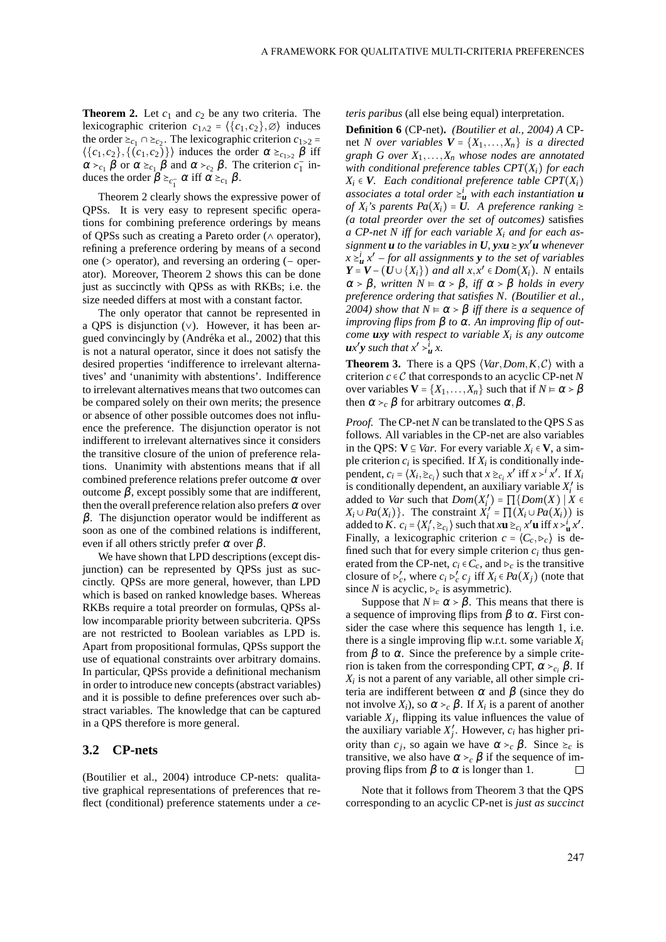**Theorem 2.** Let  $c_1$  and  $c_2$  be any two criteria. The lexicographic criterion  $c_{1\wedge 2} = \langle \{c_1, c_2\}, \emptyset \rangle$  induces the order  $\succeq_{c_1} \cap \succeq_{c_2}$ . The lexicographic criterion  $c_{1>2}$  =  $\langle \{c_1, c_2\}, \{ (c_1, c_2) \} \rangle$  induces the order  $\alpha \geq_{c_1 > 2} \beta$  iff  $\alpha >_{c_1} \beta$  or  $\alpha \ge_{c_1} \beta$  and  $\alpha >_{c_2} \beta$ . The criterion  $c_1$  $\frac{1}{1}$  induces the order  $\beta \geq_{c_1^-} \alpha$  iff  $\alpha \geq_{c_1} \beta$ .

Theorem 2 clearly shows the expressive power of QPSs. It is very easy to represent specific operations for combining preference orderings by means of QPSs such as creating a Pareto order (∧ operator), refining a preference ordering by means of a second one (> operator), and reversing an ordering (− operator). Moreover, Theorem 2 shows this can be done just as succinctly with QPSs as with RKBs; i.e. the size needed differs at most with a constant factor.

The only operator that cannot be represented in a QPS is disjunction (∨). However, it has been argued convincingly by (Andréka et al., 2002) that this is not a natural operator, since it does not satisfy the desired properties 'indifference to irrelevant alternatives' and 'unanimity with abstentions'. Indifference to irrelevant alternatives means that two outcomes can be compared solely on their own merits; the presence or absence of other possible outcomes does not influence the preference. The disjunction operator is not indifferent to irrelevant alternatives since it considers the transitive closure of the union of preference relations. Unanimity with abstentions means that if all combined preference relations prefer outcome  $\alpha$  over outcome β, except possibly some that are indifferent, then the overall preference relation also prefers  $\alpha$  over  $β$ . The disjunction operator would be indifferent as soon as one of the combined relations is indifferent, even if all others strictly prefer  $\alpha$  over  $\beta$ .

We have shown that LPD descriptions (except disjunction) can be represented by QPSs just as succinctly. QPSs are more general, however, than LPD which is based on ranked knowledge bases. Whereas RKBs require a total preorder on formulas, QPSs allow incomparable priority between subcriteria. QPSs are not restricted to Boolean variables as LPD is. Apart from propositional formulas, QPSs support the use of equational constraints over arbitrary domains. In particular, QPSs provide a definitional mechanism in order to introduce new concepts (abstract variables) and it is possible to define preferences over such abstract variables. The knowledge that can be captured in a QPS therefore is more general.

#### **3.2 CP-nets**

(Boutilier et al., 2004) introduce CP-nets: qualitative graphical representations of preferences that reflect (conditional) preference statements under a *ce-* *teris paribus* (all else being equal) interpretation.

**Definition 6** (CP-net)**.** *(Boutilier et al., 2004) A* CPnet *N* over variables  $V = \{X_1, \ldots, X_n\}$  is a directed *graph G over X*1,...,*X<sup>n</sup> whose nodes are annotated with conditional preference tables CPT*(*Xi*) *for each*  $X_i$  ∈ *V*. Each conditional preference table CPT( $X_i$ ) *associates a total order*  $\geq_u^i$  *with each instantiation u of*  $X_i$ 's parents  $Pa(X_i) = U$ . A preference ranking  $\geq$ *(a total preorder over the set of outcomes)* satisfies *a CP-net N iff for each variable X<sup>i</sup> and for each assignment u to the variables in*  $U$ *, yx***u** ≥ *yx*<sup>*'*</sup>*u whenever*  $x \geq u$ ,  $x'$  – for all assignments **y** to the set of variables  $Y = V - (U \cup \{X_i\})$  *and all x,x*<sup>*'*</sup>  $\in Dom(X_i)$ *. N* entails  $\alpha > \beta$ *, written*  $N \models \alpha > \beta$ *, iff*  $\alpha > \beta$  *holds in every preference ordering that satisfies N. (Boutilier et al., 2004) show that*  $N$   $∈$   $α$   $>$   $β$  *iff there is a sequence of improving flips from* β *to* <sup>α</sup>*. An improving flip of outcome uxy with respect to variable X<sup>i</sup> is any outcome*  $ux'y$  *such that*  $x' > u$ <sup>*i*</sup> $\cdot x$ .

**Theorem 3.** There is a QPS ⟨*Var*,*Dom*,*K*,C⟩ with a criterion  $c \in \mathcal{C}$  that corresponds to an acyclic CP-net N over variables  $V = \{X_1, \ldots, X_n\}$  such that if  $N \in \alpha > \beta$ then  $\alpha >_{c} \beta$  for arbitrary outcomes  $\alpha, \beta$ .

*Proof.* The CP-net *N* can be translated to the QPS *S* as follows. All variables in the CP-net are also variables in the QPS: **V** ⊆ *Var*. For every variable *X<sup>i</sup>* ∈ **V**, a simple criterion  $c_i$  is specified. If  $X_i$  is conditionally independent,  $c_i = \langle X_i, \Sigma_{c_i} \rangle$  such that  $x \Sigma_{c_i} x^i$  iff  $x >^i x^i$ . If  $X_i$ is conditionally dependent, an auxiliary variable  $X_i'$  is added to *Var* such that *Dom*(*X* ′ *i* ) = ∏{*Dom*(*X*) ∣ *X* ∈  $X_i \cup Pa(X_i)$ . The constraint  $X_i' = \prod_{i=1}^{n} (X_i \cup Pa(X_i))$  is added to *K*.  $c_i = \langle X'_i \rangle$  $\mathbf{u}'$ ,  $\geq_{c_i}$  such that  $x\mathbf{u} \geq_{c_i} x' \mathbf{u}$  iff  $x > \mathbf{u}'$ , Finally, a lexicographic criterion  $c = \langle C_c, \triangleright_c \rangle$  is defined such that for every simple criterion  $c_i$  thus generated from the CP-net,  $c_i \in C_c$ , and  $\triangleright_c$  is the transitive closure of  $\triangleright'_c$ , where  $c_i \triangleright'_c c_j$  iff  $X_i \in Pa(X_j)$  (note that since *N* is acyclic,  $\triangleright_c$  is asymmetric).

Suppose that  $N \models \alpha > \beta$ . This means that there is a sequence of improving flips from  $\beta$  to  $\alpha$ . First consider the case where this sequence has length 1, i.e. there is a single improving flip w.r.t. some variable  $X_i$ from  $β$  to  $α$ . Since the preference by a simple criterion is taken from the corresponding CPT,  $\alpha >_{c_i} \beta$ . If *Xi* is not a parent of any variable, all other simple criteria are indifferent between  $\alpha$  and  $\beta$  (since they do not involve  $X_i$ ), so  $\alpha >_c \beta$ . If  $X_i$  is a parent of another variable  $X_j$ , flipping its value influences the value of the auxiliary variable  $X'_j$ . However,  $c_i$  has higher priority than  $c_j$ , so again we have  $\alpha >_c \beta$ . Since  $\ge_c$  is transitive, we also have  $\alpha >_{c} \beta$  if the sequence of improving flips from  $\beta$  to  $\alpha$  is longer than 1. П

Note that it follows from Theorem 3 that the QPS corresponding to an acyclic CP-net is *just as succinct*